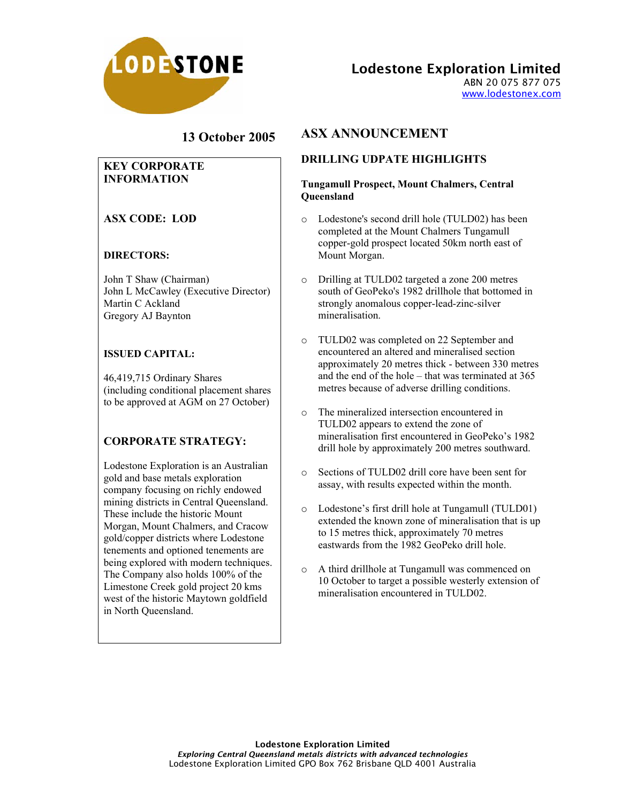

Lodestone Exploration Limited

ABN 20 075 877 075 www.lodestonex.com

# **13 October 2005**

### **KEY CORPORATE INFORMATION**

## **ASX CODE: LOD**

#### **DIRECTORS:**

John T Shaw (Chairman) John L McCawley (Executive Director) Martin C Ackland Gregory AJ Baynton

### **ISSUED CAPITAL:**

46,419,715 Ordinary Shares (including conditional placement shares to be approved at AGM on 27 October)

## **CORPORATE STRATEGY:**

Lodestone Exploration is an Australian gold and base metals exploration company focusing on richly endowed mining districts in Central Queensland. These include the historic Mount Morgan, Mount Chalmers, and Cracow gold/copper districts where Lodestone tenements and optioned tenements are being explored with modern techniques. The Company also holds 100% of the Limestone Creek gold project 20 kms west of the historic Maytown goldfield in North Queensland.

# **ASX ANNOUNCEMENT**

## **DRILLING UDPATE HIGHLIGHTS**

#### **Tungamull Prospect, Mount Chalmers, Central Queensland**

- o Lodestone's second drill hole (TULD02) has been completed at the Mount Chalmers Tungamull copper-gold prospect located 50km north east of Mount Morgan.
- o Drilling at TULD02 targeted a zone 200 metres south of GeoPeko's 1982 drillhole that bottomed in strongly anomalous copper-lead-zinc-silver mineralisation.
- o TULD02 was completed on 22 September and encountered an altered and mineralised section approximately 20 metres thick - between 330 metres and the end of the hole – that was terminated at 365 metres because of adverse drilling conditions.
- o The mineralized intersection encountered in TULD02 appears to extend the zone of mineralisation first encountered in GeoPeko's 1982 drill hole by approximately 200 metres southward.
- o Sections of TULD02 drill core have been sent for assay, with results expected within the month.
- o Lodestone's first drill hole at Tungamull (TULD01) extended the known zone of mineralisation that is up to 15 metres thick, approximately 70 metres eastwards from the 1982 GeoPeko drill hole.
- o A third drillhole at Tungamull was commenced on 10 October to target a possible westerly extension of mineralisation encountered in TULD02.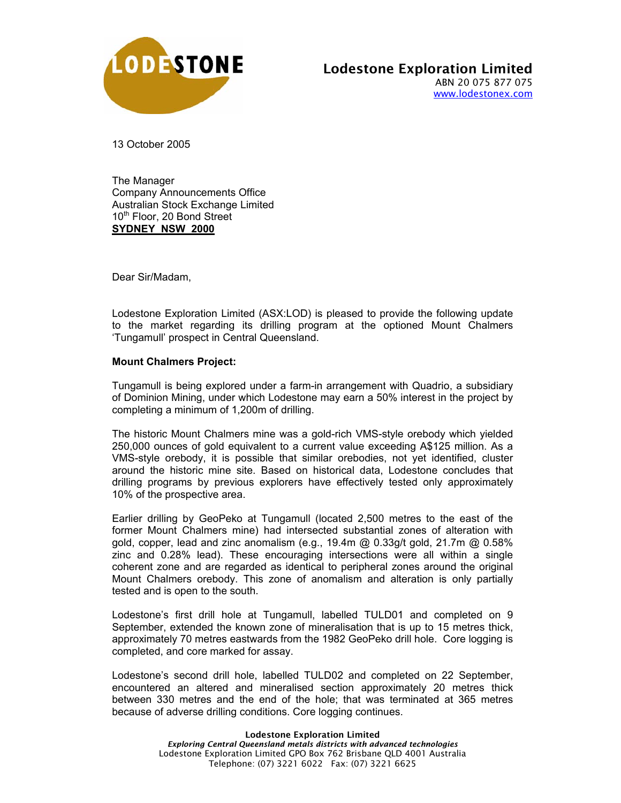

13 October 2005

The Manager Company Announcements Office Australian Stock Exchange Limited 10<sup>th</sup> Floor, 20 Bond Street **SYDNEY NSW 2000**

Dear Sir/Madam,

Lodestone Exploration Limited (ASX:LOD) is pleased to provide the following update to the market regarding its drilling program at the optioned Mount Chalmers 'Tungamull' prospect in Central Queensland.

#### **Mount Chalmers Project:**

Tungamull is being explored under a farm-in arrangement with Quadrio, a subsidiary of Dominion Mining, under which Lodestone may earn a 50% interest in the project by completing a minimum of 1,200m of drilling.

The historic Mount Chalmers mine was a gold-rich VMS-style orebody which yielded 250,000 ounces of gold equivalent to a current value exceeding A\$125 million. As a VMS-style orebody, it is possible that similar orebodies, not yet identified, cluster around the historic mine site. Based on historical data, Lodestone concludes that drilling programs by previous explorers have effectively tested only approximately 10% of the prospective area.

Earlier drilling by GeoPeko at Tungamull (located 2,500 metres to the east of the former Mount Chalmers mine) had intersected substantial zones of alteration with gold, copper, lead and zinc anomalism (e.g.,  $19.4$ m @  $0.33q/t$  gold,  $21.7m$  @  $0.58\%$ zinc and 0.28% lead). These encouraging intersections were all within a single coherent zone and are regarded as identical to peripheral zones around the original Mount Chalmers orebody. This zone of anomalism and alteration is only partially tested and is open to the south.

Lodestone's first drill hole at Tungamull, labelled TULD01 and completed on 9 September, extended the known zone of mineralisation that is up to 15 metres thick, approximately 70 metres eastwards from the 1982 GeoPeko drill hole. Core logging is completed, and core marked for assay.

Lodestone's second drill hole, labelled TULD02 and completed on 22 September, encountered an altered and mineralised section approximately 20 metres thick between 330 metres and the end of the hole; that was terminated at 365 metres because of adverse drilling conditions. Core logging continues.